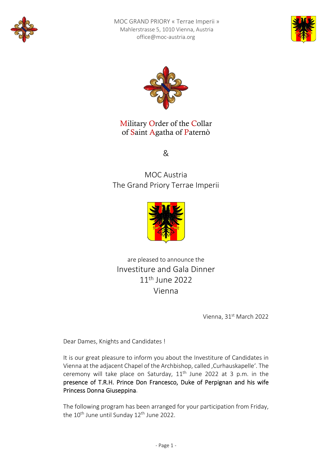





Military Order of the Collar of Saint Agatha of Paternò

&

MOC Austria The Grand Priory Terrae Imperii



are pleased to announce the Investiture and Gala Dinner 11th June 2022 Vienna

Vienna, 31st March 2022

Dear Dames, Knights and Candidates !

It is our great pleasure to inform you about the Investiture of Candidates in Vienna at the adjacent Chapel of the Archbishop, called , Curhauskapelle'. The ceremony will take place on Saturday,  $11<sup>th</sup>$  June 2022 at 3 p.m. in the presence of T.R.H. Prince Don Francesco, Duke of Perpignan and his wife Princess Donna Giuseppina.

The following program has been arranged for your participation from Friday, the 10<sup>th</sup> June until Sunday 12<sup>th</sup> June 2022.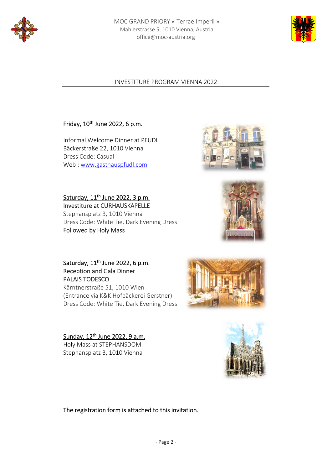



# INVESTITURE PROGRAM VIENNA 2022

# Friday, 10<sup>th</sup> June 2022, 6 p.m.

Informal Welcome Dinner at PFUDL Bäckerstraße 22, 1010 Vienna Dress Code: Casual Web : www.gasthauspfudl.com



Saturday, 11<sup>th</sup> June 2022, 3 p.m. Investiture at CURHAUSKAPELLE Stephansplatz 3, 1010 Vienna Dress Code: White Tie, Dark Evening Dress Followed by Holy Mass



Saturday, 11<sup>th</sup> June 2022, 6 p.m. Reception and Gala Dinner PALAIS TODESCO Kärntnerstraße 51, 1010 Wien

(Entrance via K&K Hofbäckerei Gerstner) Dress Code: White Tie, Dark Evening Dress



Sunday, 12th June 2022, 9 a.m. Holy Mass at STEPHANSDOM Stephansplatz 3, 1010 Vienna

The registration form is attached to this invitation.

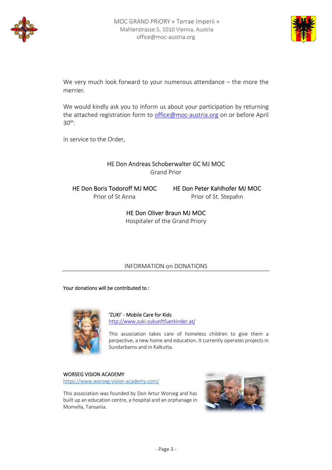



We very much look forward to your numerous attendance – the more the merrier.

We would kindly ask you to inform us about your participation by returning the attached registration form to office@moc-austria.org on or before April 30th.

In service to the Order,

# HE Don Andreas Schoberwalter GC MJ MOC

Grand Prior

HE Don Boris Todoroff MJ MOC Prior of St Anna

HE Don Peter Kahlhofer MJ MOC Prior of St. Stepahn

HE Don Oliver Braun MJ MOC Hospitaler of the Grand Priory

### INFORMATION on DONATIONS

Your donations will be contributed to :



'ZUKI' ‐ Mobile Care for Kids http://www.zuki‐zukunftfuerkinder.at/

This association takes care of homeless children to give them a perpective, a new home and education. It currently operates projects in Sundarbarns and in Kalkutta.

#### WORSEG VISION ACADEMY

https://www.worseg‐vision‐academy.com/

This association was founded by Don Artur Worseg and has built up an education centre, a hospital and an orphanage in Momella, Tansania.